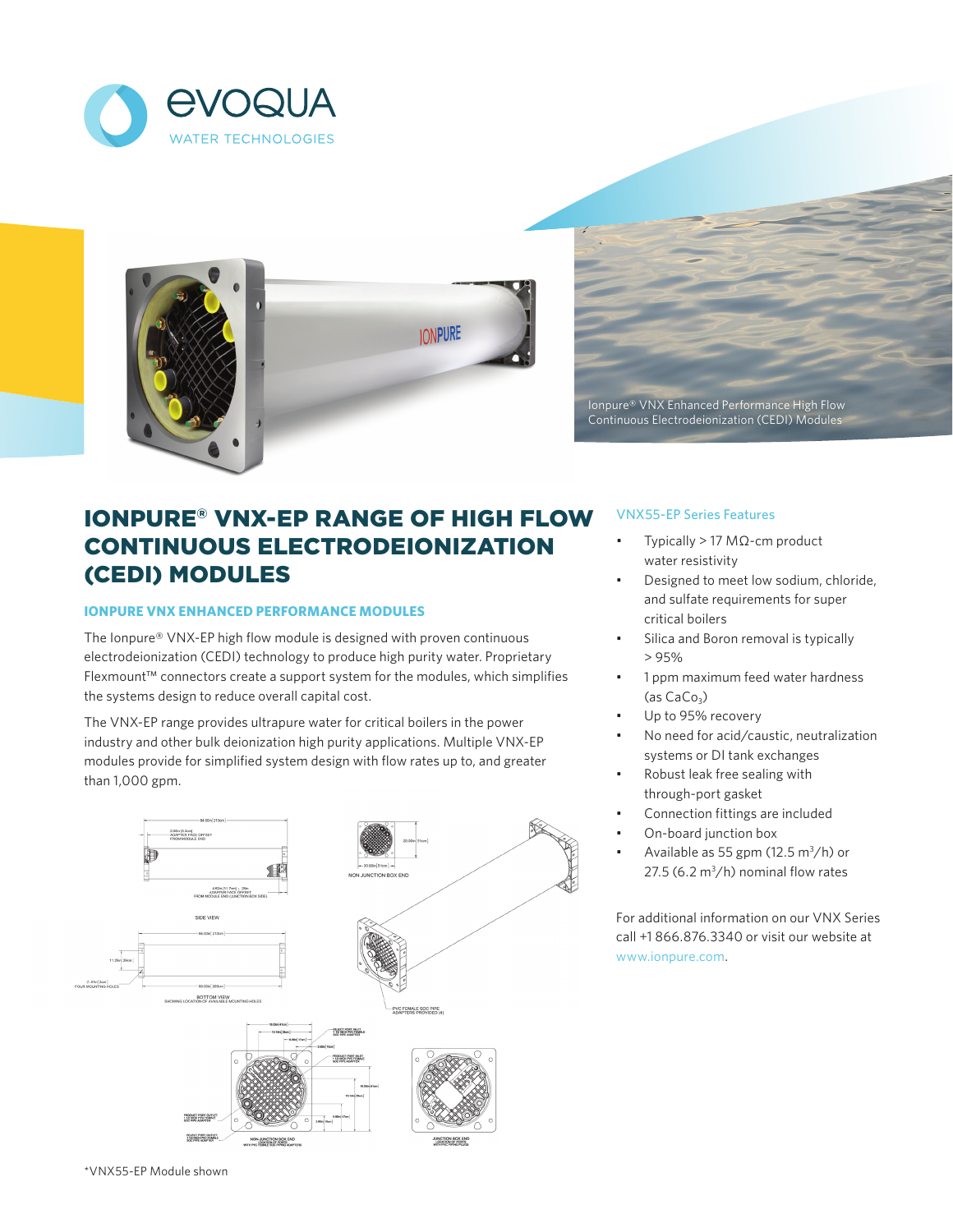



Ionpure® VNX Enhanced Performance High Flow Continuous Electrodeionization (CEDI) Modules

# IONPURE® VNX-EP RANGE OF HIGH FLOW CONTINUOUS ELECTRODEIONIZATION (CEDI) MODULES

# **IONPURE VNX ENHANCED PERFORMANCE MODULES**

The Ionpure® VNX-EP high flow module is designed with proven continuous electrodeionization (CEDI) technology to produce high purity water. Proprietary Flexmount™ connectors create a support system for the modules, which simplifies the systems design to reduce overall capital cost.

The VNX-EP range provides ultrapure water for critical boilers in the power industry and other bulk deionization high purity applications. Multiple VNX-EP modules provide for simplified system design with flow rates up to, and greater than 1,000 gpm.



# VNX55-EP Series Features

- Typically > 17 MΩ-cm product water resistivity
- Designed to meet low sodium, chloride, and sulfate requirements for super critical boilers
- Silica and Boron removal is typically > 95%
- 1 ppm maximum feed water hardness  $(as CaCo<sub>3</sub>)$
- Up to 95% recovery
- No need for acid/caustic, neutralization systems or DI tank exchanges
- Robust leak free sealing with through-port gasket
- Connection fittings are included
- On-board junction box
- Available as 55 gpm (12.5  $\text{m}^3/\text{h}$ ) or 27.5 (6.2  $m^3/h$ ) nominal flow rates

For additional information on our VNX Series call +1 866.876.3340 or visit our website at www.ionpure.com.